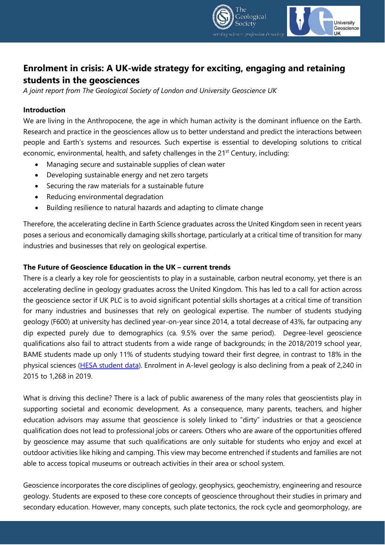

# **Enrolment in crisis: A UK-wide strategy for exciting, engaging and retaining students in the geosciences**

*A joint report from The Geological Society of London and University Geoscience UK*

### **Introduction**

We are living in the Anthropocene, the age in which human activity is the dominant influence on the Earth. Research and practice in the geosciences allow us to better understand and predict the interactions between people and Earth's systems and resources. Such expertise is essential to developing solutions to critical economic, environmental, health, and safety challenges in the  $21<sup>st</sup>$  Century, including:

- Managing secure and sustainable supplies of clean water
- Developing sustainable energy and net zero targets
- Securing the raw materials for a sustainable future
- Reducing environmental degradation
- Building resilience to natural hazards and adapting to climate change

Therefore, the accelerating decline in Earth Science graduates across the United Kingdom seen in recent years poses a serious and economically damaging skills shortage, particularly at a critical time of transition for many industries and businesses that rely on geological expertise.

#### **The Future of Geoscience Education in the UK – current trends**

There is a clearly a key role for geoscientists to play in a sustainable, carbon neutral economy, yet there is an accelerating decline in geology graduates across the United Kingdom. This has led to a call for action across the geoscience sector if UK PLC is to avoid significant potential skills shortages at a critical time of transition for many industries and businesses that rely on geological expertise. The number of students studying geology (F600) at university has declined year-on-year since 2014, a total decrease of 43%, far outpacing any dip expected purely due to demographics (ca. 9.5% over the same period). Degree-level geoscience qualifications also fail to attract students from a wide range of backgrounds; in the 2018/2019 school year, BAME students made up only 11% of students studying toward their first degree, in contrast to 18% in the physical sciences [\(HESA student data\)](https://www.hesa.ac.uk/data-and-analysis/students/table-8). Enrolment in A-level geology is also declining from a peak of 2,240 in 2015 to 1,268 in 2019.

What is driving this decline? There is a lack of public awareness of the many roles that geoscientists play in supporting societal and economic development. As a consequence, many parents, teachers, and higher education advisors may assume that geoscience is solely linked to "dirty" industries or that a geoscience qualification does not lead to professional jobs or careers. Others who are aware of the opportunities offered by geoscience may assume that such qualifications are only suitable for students who enjoy and excel at outdoor activities like hiking and camping. This view may become entrenched if students and families are not able to access topical museums or outreach activities in their area or school system.

Geoscience incorporates the core disciplines of geology, geophysics, geochemistry, engineering and resource geology. Students are exposed to these core concepts of geoscience throughout their studies in primary and secondary education. However, many concepts, such plate tectonics, the rock cycle and geomorphology, are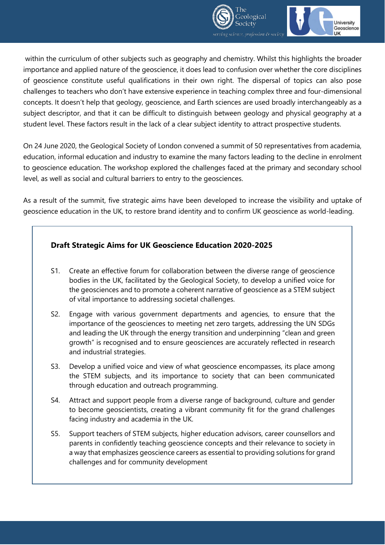



within the curriculum of other subjects such as geography and chemistry. Whilst this highlights the broader importance and applied nature of the geoscience, it does lead to confusion over whether the core disciplines of geoscience constitute useful qualifications in their own right. The dispersal of topics can also pose challenges to teachers who don't have extensive experience in teaching complex three and four-dimensional concepts. It doesn't help that geology, geoscience, and Earth sciences are used broadly interchangeably as a subject descriptor, and that it can be difficult to distinguish between geology and physical geography at a student level. These factors result in the lack of a clear subject identity to attract prospective students.

On 24 June 2020, the Geological Society of London convened a summit of 50 representatives from academia, education, informal education and industry to examine the many factors leading to the decline in enrolment to geoscience education. The workshop explored the challenges faced at the primary and secondary school level, as well as social and cultural barriers to entry to the geosciences.

As a result of the summit, five strategic aims have been developed to increase the visibility and uptake of geoscience education in the UK, to restore brand identity and to confirm UK geoscience as world-leading.

# **Draft Strategic Aims for UK Geoscience Education 2020-2025**

- S1. Create an effective forum for collaboration between the diverse range of geoscience bodies in the UK, facilitated by the Geological Society, to develop a unified voice for the geosciences and to promote a coherent narrative of geoscience as a STEM subject of vital importance to addressing societal challenges.
- S2. Engage with various government departments and agencies, to ensure that the importance of the geosciences to meeting net zero targets, addressing the UN SDGs and leading the UK through the energy transition and underpinning "clean and green growth" is recognised and to ensure geosciences are accurately reflected in research and industrial strategies.
- S3. Develop a unified voice and view of what geoscience encompasses, its place among the STEM subjects, and its importance to society that can been communicated through education and outreach programming.
- S4. Attract and support people from a diverse range of background, culture and gender to become geoscientists, creating a vibrant community fit for the grand challenges facing industry and academia in the UK.
- S5. Support teachers of STEM subjects, higher education advisors, career counsellors and parents in confidently teaching geoscience concepts and their relevance to society in a way that emphasizes geoscience careers as essential to providing solutions for grand challenges and for community development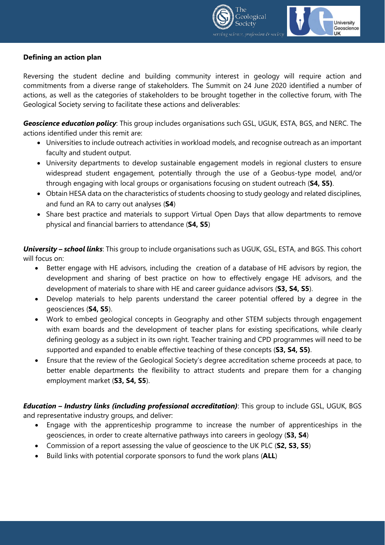



## **Defining an action plan**

Reversing the student decline and building community interest in geology will require action and commitments from a diverse range of stakeholders. The Summit on 24 June 2020 identified a number of actions, as well as the categories of stakeholders to be brought together in the collective forum, with The Geological Society serving to facilitate these actions and deliverables:

*Geoscience education policy*: This group includes organisations such GSL, UGUK, ESTA, BGS, and NERC. The actions identified under this remit are:

- Universities to include outreach activities in workload models, and recognise outreach as an important faculty and student output.
- University departments to develop sustainable engagement models in regional clusters to ensure widespread student engagement, potentially through the use of a Geobus-type model, and/or through engaging with local groups or organisations focusing on student outreach (**S4, S5)**.
- Obtain HESA data on the characteristics of students choosing to study geology and related disciplines, and fund an RA to carry out analyses (**S4**)
- Share best practice and materials to support Virtual Open Days that allow departments to remove physical and financial barriers to attendance (**S4, S5**)

*University – school links*: This group to include organisations such as UGUK, GSL, ESTA, and BGS. This cohort will focus on:

- Better engage with HE advisors, including the creation of a database of HE advisors by region, the development and sharing of best practice on how to effectively engage HE advisors, and the development of materials to share with HE and career guidance advisors (**S3, S4, S5**).
- Develop materials to help parents understand the career potential offered by a degree in the geosciences (**S4, S5**).
- Work to embed geological concepts in Geography and other STEM subjects through engagement with exam boards and the development of teacher plans for existing specifications, while clearly defining geology as a subject in its own right. Teacher training and CPD programmes will need to be supported and expanded to enable effective teaching of these concepts (**S3, S4, S5)**.
- Ensure that the review of the Geological Society's degree accreditation scheme proceeds at pace, to better enable departments the flexibility to attract students and prepare them for a changing employment market (**S3, S4, S5**).

*Education – Industry links (including professional accreditation)*: This group to include GSL, UGUK, BGS and representative industry groups, and deliver:

- Engage with the apprenticeship programme to increase the number of apprenticeships in the geosciences, in order to create alternative pathways into careers in geology (**S3, S4**)
- Commission of a report assessing the value of geoscience to the UK PLC (**S2, S3, S5**)
- Build links with potential corporate sponsors to fund the work plans (**ALL**)